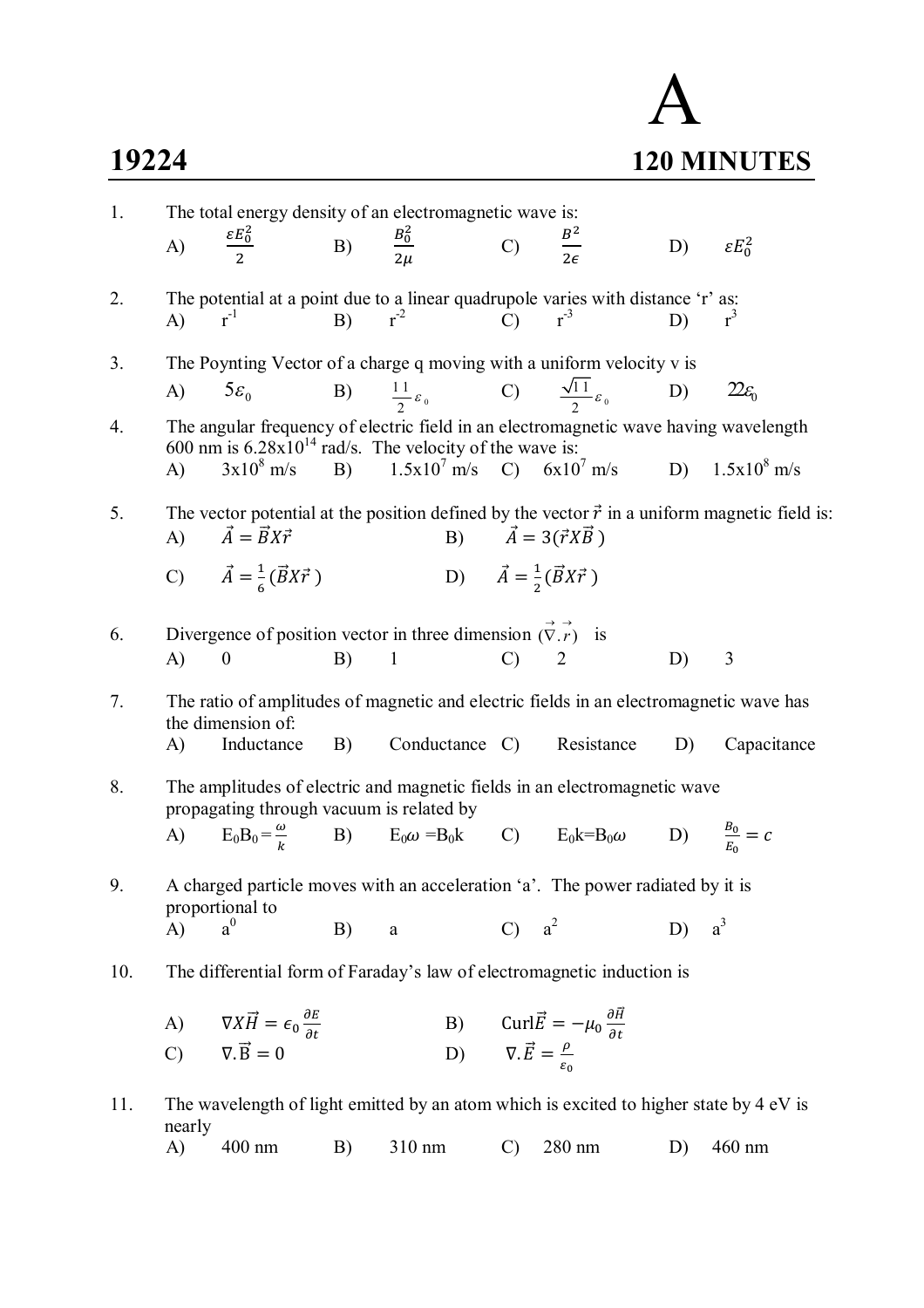## A **19224 120 MINUTES**

| 1.               | The total energy density of an electromagnetic wave is: |                                                                                                        |          |                                                                        |                                                        |                                                                                                                                                          |    |                                                                                                      |
|------------------|---------------------------------------------------------|--------------------------------------------------------------------------------------------------------|----------|------------------------------------------------------------------------|--------------------------------------------------------|----------------------------------------------------------------------------------------------------------------------------------------------------------|----|------------------------------------------------------------------------------------------------------|
|                  | A)                                                      | $\frac{\varepsilon E_0^2}{2}$ B) $\frac{B_0^2}{2\mu}$ C) $\frac{B^2}{2\epsilon}$                       |          |                                                                        |                                                        |                                                                                                                                                          | D) | $\epsilon E_0^2$                                                                                     |
| 2.               | $\mathbf{A}$                                            | $r^{-1}$                                                                                               | B) $r^2$ |                                                                        |                                                        | The potential at a point due to a linear quadrupole varies with distance 'r' as:<br>$\mathbf{C}$ $\mathbf{r}^{-3}$                                       | D) | $r^3$                                                                                                |
| 3.               | (A)                                                     | $5\varepsilon_0$                                                                                       |          | B) $\frac{11}{2} \varepsilon_0$ C) $\frac{\sqrt{11}}{2} \varepsilon_0$ |                                                        | The Poynting Vector of a charge q moving with a uniform velocity v is                                                                                    | D) | $22\varepsilon_0$                                                                                    |
| $\overline{4}$ . | $\mathbf{A}$                                            | 600 nm is $6.28 \times 10^{14}$ rad/s. The velocity of the wave is:                                    |          |                                                                        |                                                        | The angular frequency of electric field in an electromagnetic wave having wavelength<br>$3x10^8$ m/s B) $1.5x10^7$ m/s C) $6x10^7$ m/s D) $1.5x10^8$ m/s |    |                                                                                                      |
| 5.               |                                                         | A) $\vec{A} = \vec{B}X\vec{r}$                                                                         |          |                                                                        |                                                        | B) $\vec{A} = 3(\vec{r}X\vec{B})$                                                                                                                        |    | The vector potential at the position defined by the vector $\vec{r}$ in a uniform magnetic field is: |
|                  |                                                         | C) $\vec{A} = \frac{1}{6} (\vec{B} X \vec{r})$                                                         |          | D) $\vec{A} = \frac{1}{2} (\vec{B} X \vec{r})$                         |                                                        |                                                                                                                                                          |    |                                                                                                      |
| 6.               | $\bf{A}$                                                | Divergence of position vector in three dimension $(\vec{\nabla} \cdot \vec{r})$ is<br>$\boldsymbol{0}$ | B)       | $\mathbf{1}$                                                           | $\mathcal{C}$                                          | $\overline{2}$                                                                                                                                           | D) | 3                                                                                                    |
| 7.               | A)                                                      | the dimension of:<br>Inductance                                                                        |          |                                                                        |                                                        | The ratio of amplitudes of magnetic and electric fields in an electromagnetic wave has<br>B) Conductance C) Resistance                                   | D) | Capacitance                                                                                          |
| 8.               |                                                         | propagating through vacuum is related by                                                               |          |                                                                        |                                                        | The amplitudes of electric and magnetic fields in an electromagnetic wave                                                                                |    |                                                                                                      |
|                  |                                                         |                                                                                                        |          |                                                                        |                                                        | A) $E_0B_0 = \frac{\omega}{k}$ B) $E_0\omega = B_0k$ C) $E_0k = B_0\omega$ D) $\frac{B_0}{E_0} = c$                                                      |    |                                                                                                      |
| 9.               |                                                         | proportional to                                                                                        |          |                                                                        |                                                        | A charged particle moves with an acceleration 'a'. The power radiated by it is                                                                           |    |                                                                                                      |
| 10.              | A)                                                      | $a^0$                                                                                                  | B)       | a                                                                      |                                                        | $a^2$<br>The differential form of Faraday's law of electromagnetic induction is                                                                          | D) | $a^3$                                                                                                |
|                  | A)                                                      | $\nabla X \vec{H} = \epsilon_0 \frac{\partial E}{\partial t}$                                          |          |                                                                        |                                                        | B) Curl $\vec{E} = -\mu_0 \frac{\partial \vec{H}}{\partial t}$                                                                                           |    |                                                                                                      |
|                  |                                                         | C) $\nabla \cdot \vec{B} = 0$                                                                          |          |                                                                        | D) $\nabla \cdot \vec{E} = \frac{\rho}{\varepsilon_0}$ |                                                                                                                                                          |    |                                                                                                      |
| 11.              | nearly                                                  |                                                                                                        |          |                                                                        |                                                        | The wavelength of light emitted by an atom which is excited to higher state by 4 eV is                                                                   |    |                                                                                                      |
|                  | A)                                                      | 400 nm                                                                                                 | B)       | 310 nm                                                                 | $\mathcal{C}$                                          | 280 nm                                                                                                                                                   | D) | 460 nm                                                                                               |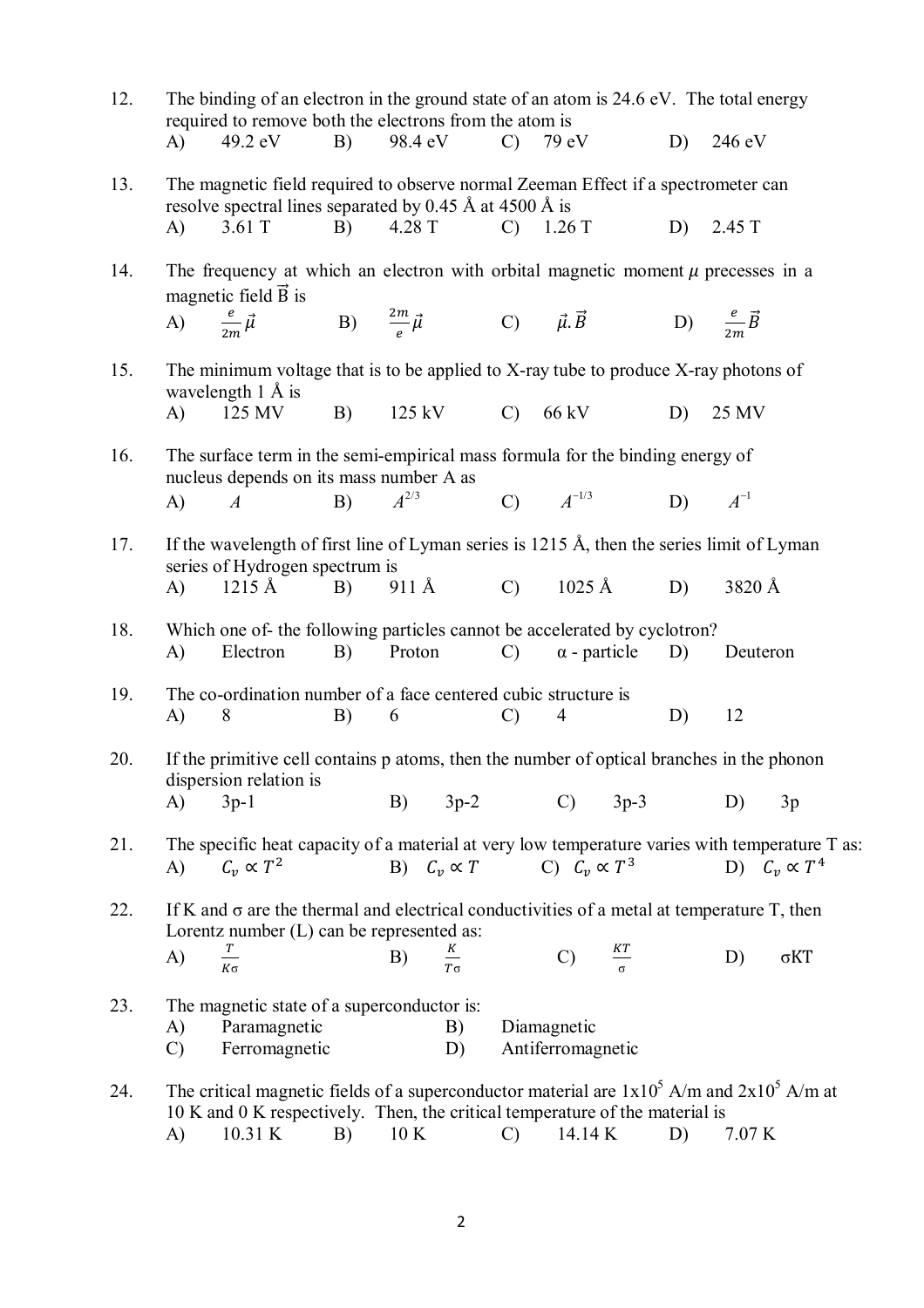| 12. |                     | The binding of an electron in the ground state of an atom is 24.6 eV. The total energy<br>required to remove both the electrons from the atom is                                          |    |           |                   |               |                                         |                     |    |          |                      |
|-----|---------------------|-------------------------------------------------------------------------------------------------------------------------------------------------------------------------------------------|----|-----------|-------------------|---------------|-----------------------------------------|---------------------|----|----------|----------------------|
|     | A)                  | 49.2 eV                                                                                                                                                                                   | B) | 98.4 eV   |                   |               | $C)$ 79 eV                              |                     | D) | 246 eV   |                      |
| 13. |                     | The magnetic field required to observe normal Zeeman Effect if a spectrometer can<br>resolve spectral lines separated by 0.45 Å at 4500 Å is                                              |    |           |                   |               |                                         |                     |    |          |                      |
|     | A)                  | $3.61$ T                                                                                                                                                                                  | B) |           | 4.28 T            |               | $C)$ 1.26 T                             |                     | D) | 2.45 T   |                      |
| 14. |                     | The frequency at which an electron with orbital magnetic moment $\mu$ precesses in a<br>magnetic field $\vec{B}$ is                                                                       |    |           |                   |               |                                         |                     |    |          |                      |
|     |                     | A) $\frac{e}{2m}\vec{\mu}$ B) $\frac{2m}{e}\vec{\mu}$ C) $\vec{\mu}.\vec{B}$ D) $\frac{e}{2m}\vec{B}$                                                                                     |    |           |                   |               |                                         |                     |    |          |                      |
| 15. |                     | The minimum voltage that is to be applied to X-ray tube to produce X-ray photons of<br>wavelength $1 \nA$ is                                                                              |    |           |                   |               |                                         |                     |    |          |                      |
|     | (A)                 | 125 MV                                                                                                                                                                                    | B) |           |                   |               | $125 \text{ kV}$ C) 66 kV D)            |                     |    | 25 MV    |                      |
| 16. |                     | The surface term in the semi-empirical mass formula for the binding energy of<br>nucleus depends on its mass number A as                                                                  |    |           |                   |               |                                         |                     |    |          |                      |
|     | $\bf{A}$            | $\boldsymbol{A}$                                                                                                                                                                          | B) | $A^{2/3}$ |                   |               | C) $A^{-1/3}$ D) $A^{-1}$               |                     |    |          |                      |
| 17. |                     | If the wavelength of first line of Lyman series is 1215 Å, then the series limit of Lyman<br>series of Hydrogen spectrum is                                                               |    |           |                   |               |                                         |                     |    |          |                      |
|     | $\mathbf{A}$        | $1215 \text{ Å}$                                                                                                                                                                          | B) |           |                   |               | 911 Å C) $1025 \text{ Å}$               |                     | D) | 3820 Å   |                      |
| 18. | A)                  | Which one of- the following particles cannot be accelerated by cyclotron?<br>Electron                                                                                                     | B) | Proton    |                   | $\mathbf{C}$  | $\alpha$ - particle                     |                     | D) | Deuteron |                      |
| 19. | A)                  | The co-ordination number of a face centered cubic structure is<br>8                                                                                                                       | B) | 6         |                   | $\mathcal{C}$ | $\overline{4}$                          |                     | D) | 12       |                      |
| 20. |                     | If the primitive cell contains p atoms, then the number of optical branches in the phonon<br>dispersion relation is                                                                       |    |           |                   |               |                                         |                     |    |          |                      |
|     | A)                  | $3p-1$                                                                                                                                                                                    |    | B)        | $3p-2$            |               | $\mathcal{C}$ )                         | $3p-3$              |    | D)       | 3p                   |
| 21. | A)                  | The specific heat capacity of a material at very low temperature varies with temperature T as:<br>$C_v \propto T^2$                                                                       |    |           |                   |               | B) $C_v \propto T$ C) $C_v \propto T^3$ |                     |    |          | D) $C_v \propto T^4$ |
| 22. |                     | If K and $\sigma$ are the thermal and electrical conductivities of a metal at temperature T, then<br>Lorentz number $(L)$ can be represented as:                                          |    |           |                   |               |                                         |                     |    |          |                      |
|     | A)                  | $rac{T}{K\sigma}$                                                                                                                                                                         |    | B)        | $rac{K}{T\sigma}$ |               | $\mathcal{C}$                           | $\frac{KT}{\sigma}$ |    | D)       | $\sigma KT$          |
| 23. | A)<br>$\mathcal{C}$ | The magnetic state of a superconductor is:<br>Paramagnetic<br>Ferromagnetic                                                                                                               |    |           | B)<br>D)          |               | Diamagnetic<br>Antiferromagnetic        |                     |    |          |                      |
| 24. | A)                  | The critical magnetic fields of a superconductor material are $1x10^5$ A/m and $2x10^5$ A/m at<br>10 K and 0 K respectively. Then, the critical temperature of the material is<br>10.31 K | B) | 10K       |                   | $\mathcal{C}$ | 14.14 K                                 |                     | D) | 7.07 K   |                      |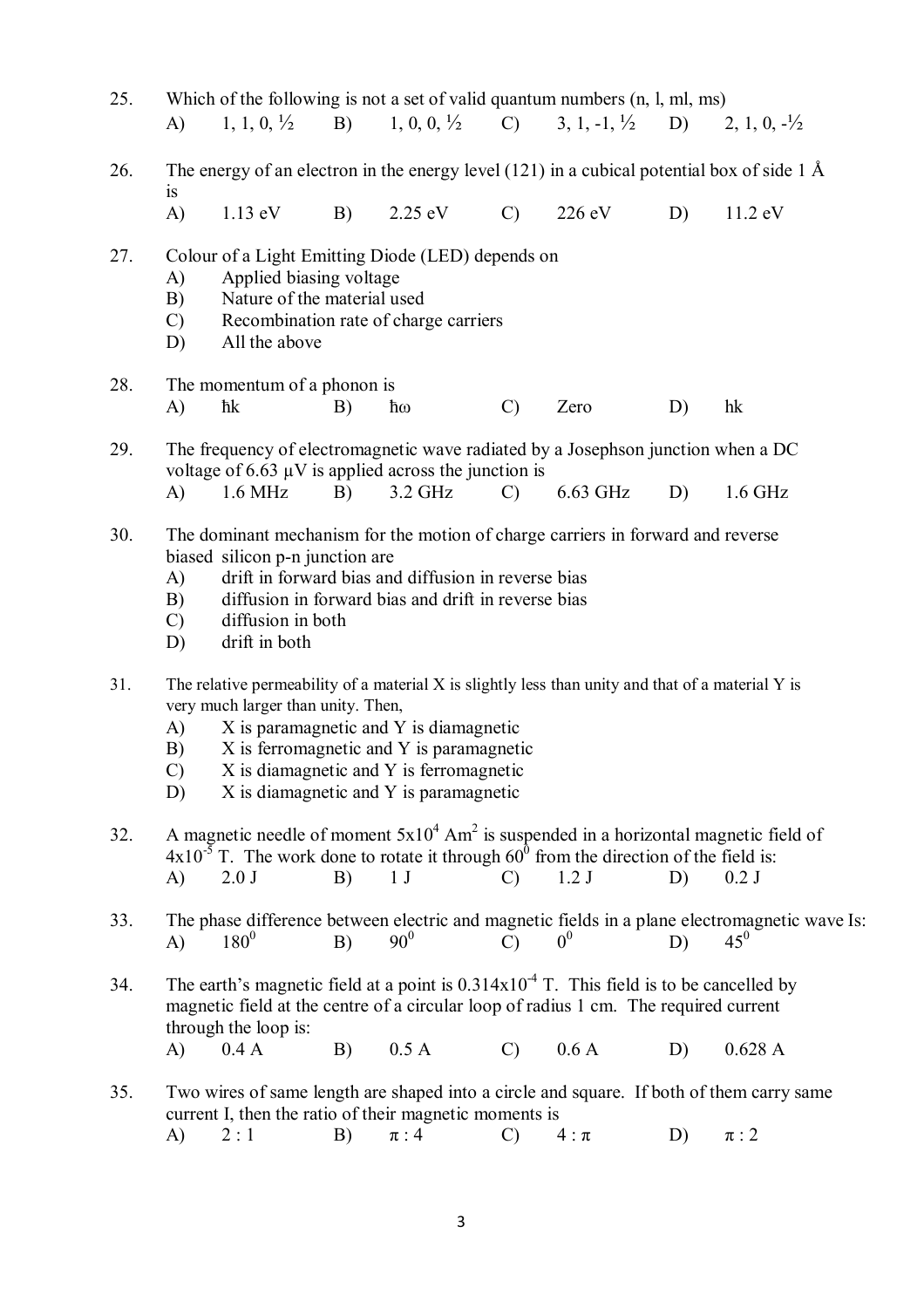| 25. | Which of the following is not a set of valid quantum numbers $(n, l, ml, ms)$<br>1, 0, 0, $\frac{1}{2}$ C) 3, 1, -1, $\frac{1}{2}$<br>1, 1, 0, $\frac{1}{2}$<br>$\vert B \rangle$<br>$\mathbf{A}$<br>D) 2, 1, 0, $-\frac{1}{2}$                                                                                                                                                                       |  |  |  |  |  |  |  |  |
|-----|-------------------------------------------------------------------------------------------------------------------------------------------------------------------------------------------------------------------------------------------------------------------------------------------------------------------------------------------------------------------------------------------------------|--|--|--|--|--|--|--|--|
| 26. | The energy of an electron in the energy level $(121)$ in a cubical potential box of side 1 Å<br>is                                                                                                                                                                                                                                                                                                    |  |  |  |  |  |  |  |  |
|     | A)<br>B)<br>$2.25 \text{ eV}$<br>$\mathcal{C}$<br>$226 \text{ eV}$<br>11.2 eV<br>$1.13 \text{ eV}$<br>D)                                                                                                                                                                                                                                                                                              |  |  |  |  |  |  |  |  |
| 27. | Colour of a Light Emitting Diode (LED) depends on<br>Applied biasing voltage<br>A)<br>Nature of the material used<br>B)<br>Recombination rate of charge carriers<br>$\mathcal{C}$<br>All the above<br>D)                                                                                                                                                                                              |  |  |  |  |  |  |  |  |
| 28. | The momentum of a phonon is<br>$\mathcal{C}$<br>Zero<br>A)<br>ħk<br>B)<br>D)<br>hk<br>ħω                                                                                                                                                                                                                                                                                                              |  |  |  |  |  |  |  |  |
| 29. | The frequency of electromagnetic wave radiated by a Josephson junction when a DC<br>voltage of 6.63 $\mu$ V is applied across the junction is                                                                                                                                                                                                                                                         |  |  |  |  |  |  |  |  |
| 30. | $1.6 \text{ MHz}$<br>B)<br>3.2 GHz<br>6.63 GHz<br>A)<br>$\mathcal{C}$<br>D)<br>$1.6$ GHz<br>The dominant mechanism for the motion of charge carriers in forward and reverse<br>biased silicon p-n junction are<br>drift in forward bias and diffusion in reverse bias<br>A)<br>B)<br>diffusion in forward bias and drift in reverse bias<br>diffusion in both<br>$\mathcal{C}$<br>drift in both<br>D) |  |  |  |  |  |  |  |  |
| 31. | The relative permeability of a material X is slightly less than unity and that of a material Y is<br>very much larger than unity. Then,<br>X is paramagnetic and Y is diamagnetic<br>A)<br>X is ferromagnetic and Y is paramagnetic<br>B)<br>X is diamagnetic and Y is ferromagnetic<br>$\mathcal{C}$<br>X is diamagnetic and Y is paramagnetic<br>D)                                                 |  |  |  |  |  |  |  |  |
| 32. | A magnetic needle of moment $5x10^4$ Am <sup>2</sup> is suspended in a horizontal magnetic field of<br>$4x10^{-5}$ T. The work done to rotate it through $60^{\circ}$ from the direction of the field is:<br>1 <sub>J</sub><br>B)<br>1.2J<br>A)<br>$2.0$ J<br>$0.2$ J<br>$\mathcal{C}$<br>D)                                                                                                          |  |  |  |  |  |  |  |  |
| 33. | The phase difference between electric and magnetic fields in a plane electromagnetic wave Is:<br>$90^{0}$<br>$45^0$<br>$180^{0}$<br>0 <sup>0</sup><br>B)<br>$\mathcal{C}$<br>A)<br>D)                                                                                                                                                                                                                 |  |  |  |  |  |  |  |  |
| 34. | The earth's magnetic field at a point is $0.314 \times 10^{-4}$ T. This field is to be cancelled by<br>magnetic field at the centre of a circular loop of radius 1 cm. The required current<br>through the loop is:<br>B)<br>0.5 A<br>0.6A<br>0.4 A<br>$\mathcal{C}$<br>0.628A<br>A)<br>D)                                                                                                            |  |  |  |  |  |  |  |  |
| 35. | Two wires of same length are shaped into a circle and square. If both of them carry same<br>current I, then the ratio of their magnetic moments is<br>2:1<br>B)<br>$\pi:4$<br>A)<br>$\mathcal{C}$<br>D)<br>$\pi:2$<br>$4: \pi$                                                                                                                                                                        |  |  |  |  |  |  |  |  |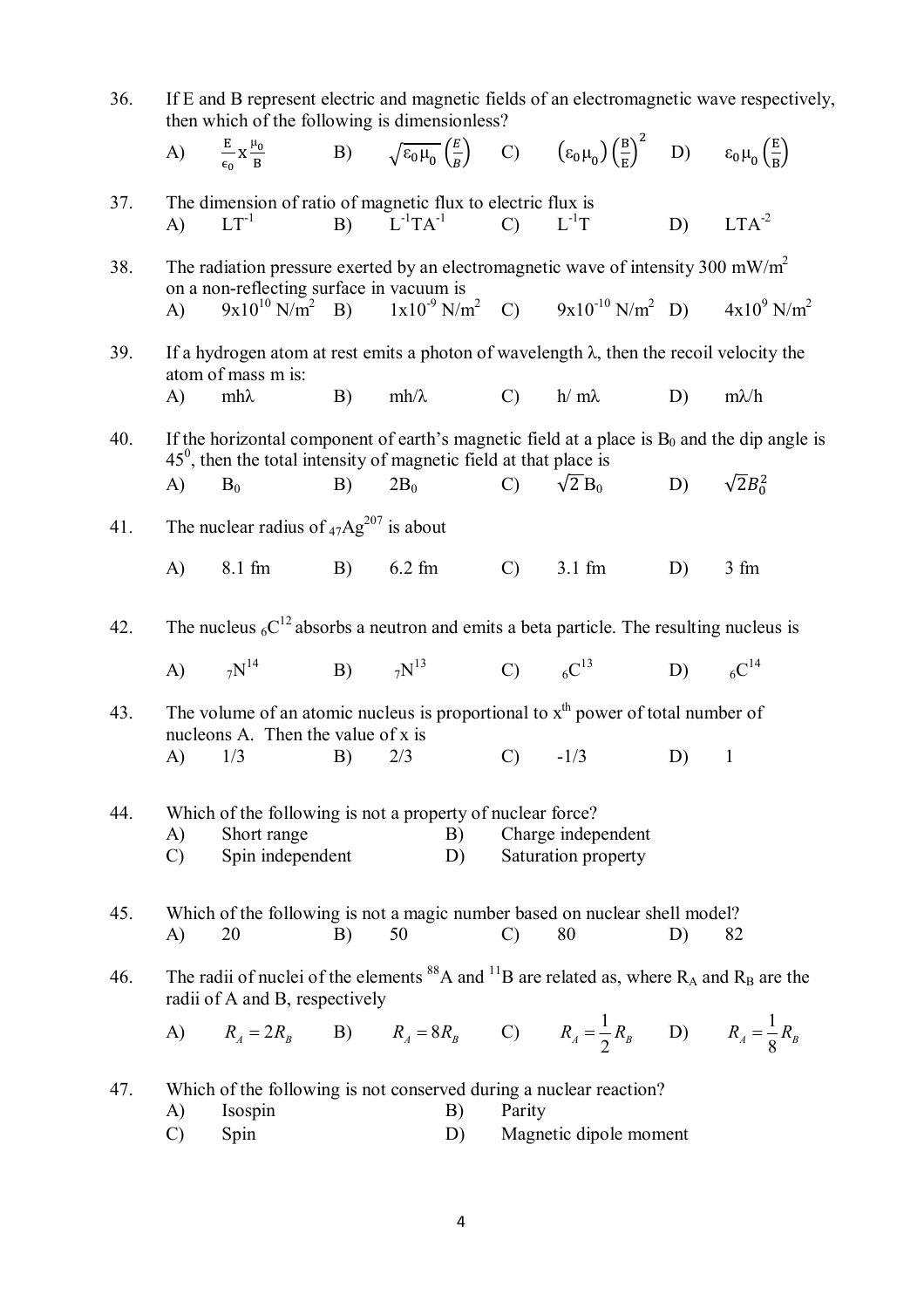| 36. | If E and B represent electric and magnetic fields of an electromagnetic wave respectively,<br>then which of the following is dimensionless? |                                                                                                                                                                                                     |    |                                 |                 |                                                                                                                              |                    |                 |
|-----|---------------------------------------------------------------------------------------------------------------------------------------------|-----------------------------------------------------------------------------------------------------------------------------------------------------------------------------------------------------|----|---------------------------------|-----------------|------------------------------------------------------------------------------------------------------------------------------|--------------------|-----------------|
|     |                                                                                                                                             | A) $\frac{E}{\epsilon_0} x \frac{\mu_0}{B}$ B) $\sqrt{\epsilon_0 \mu_0} \left(\frac{E}{R}\right)$ C) $(\epsilon_0 \mu_0) \left(\frac{B}{R}\right)^2$ D) $\epsilon_0 \mu_0 \left(\frac{E}{R}\right)$ |    |                                 |                 |                                                                                                                              |                    |                 |
| 37. | $\bf{A}$                                                                                                                                    | The dimension of ratio of magnetic flux to electric flux is<br>$LT^{-1}$                                                                                                                            |    | B) $L^{-1}TA^{-1}$ C) $L^{-1}T$ |                 |                                                                                                                              |                    | $D)$ $LTA^{-2}$ |
| 38. | The radiation pressure exerted by an electromagnetic wave of intensity 300 mW/m <sup>2</sup>                                                |                                                                                                                                                                                                     |    |                                 |                 |                                                                                                                              |                    |                 |
|     | $\bf{A}$                                                                                                                                    | on a non-reflecting surface in vacuum is                                                                                                                                                            |    |                                 |                 | $9x10^{10}$ N/m <sup>2</sup> B) $1x10^{-9}$ N/m <sup>2</sup> C) $9x10^{-10}$ N/m <sup>2</sup> D) $4x10^{9}$ N/m <sup>2</sup> |                    |                 |
| 39. |                                                                                                                                             | If a hydrogen atom at rest emits a photon of wavelength $\lambda$ , then the recoil velocity the<br>atom of mass m is:                                                                              |    |                                 |                 |                                                                                                                              |                    |                 |
|     | $\bf{A}$                                                                                                                                    | $mh\lambda$                                                                                                                                                                                         | B) | $mh/\lambda$                    | $\mathcal{C}$ ) | $h/m\lambda$                                                                                                                 | D)                 | $m\lambda/h$    |
| 40. |                                                                                                                                             | If the horizontal component of earth's magnetic field at a place is $B_0$ and the dip angle is<br>$450$ , then the total intensity of magnetic field at that place is                               |    |                                 |                 |                                                                                                                              |                    |                 |
|     | A)                                                                                                                                          | $B_0$                                                                                                                                                                                               | B) | $2B_0$                          |                 | C) $\sqrt{2} B_0$                                                                                                            | D) $\sqrt{2}B_0^2$ |                 |
| 41. |                                                                                                                                             | The nuclear radius of $_{47}Ag^{207}$ is about                                                                                                                                                      |    |                                 |                 |                                                                                                                              |                    |                 |
|     | A)                                                                                                                                          | 8.1 fm B) 6.2 fm                                                                                                                                                                                    |    |                                 | $\mathbf{C}$    | $3.1 \text{ fm}$                                                                                                             | D)                 | 3 fm            |
| 42. |                                                                                                                                             | The nucleus ${}_{6}C^{12}$ absorbs a neutron and emits a beta particle. The resulting nucleus is                                                                                                    |    |                                 |                 |                                                                                                                              |                    |                 |
|     |                                                                                                                                             | A) $7N^{14}$                                                                                                                                                                                        |    |                                 |                 | B) $7N^{13}$ C) $6C^{13}$ D) $6C^{14}$                                                                                       |                    |                 |
| 43. |                                                                                                                                             | The volume of an atomic nucleus is proportional to $xth$ power of total number of                                                                                                                   |    |                                 |                 |                                                                                                                              |                    |                 |
|     | A)                                                                                                                                          | nucleons A. Then the value of x is<br>1/3                                                                                                                                                           | B) | 2/3                             | $C)$ $-1/3$     |                                                                                                                              | D)                 | $\mathbf{1}$    |
| 44. | A)<br>$\mathcal{C}$                                                                                                                         | Which of the following is not a property of nuclear force?<br>Short range<br>Charge independent<br>B)<br>Spin independent<br>Saturation property<br>D)                                              |    |                                 |                 |                                                                                                                              |                    |                 |
| 45. | $\bf{A}$                                                                                                                                    | Which of the following is not a magic number based on nuclear shell model?<br>20                                                                                                                    | B) | 50                              | $\mathcal{C}$   | 80                                                                                                                           | D)                 | 82              |
| 46. |                                                                                                                                             | The radii of nuclei of the elements <sup>88</sup> A and <sup>11</sup> B are related as, where $R_A$ and $R_B$ are the<br>radii of A and B, respectively                                             |    |                                 |                 |                                                                                                                              |                    |                 |
|     |                                                                                                                                             | A) $R_A = 2R_B$ B) $R_A = 8R_B$ C) $R_A = \frac{1}{2}R_B$ D) $R_A = \frac{1}{8}R_B$                                                                                                                 |    |                                 |                 |                                                                                                                              |                    |                 |
| 47. |                                                                                                                                             | Which of the following is not conserved during a nuclear reaction?                                                                                                                                  |    |                                 |                 |                                                                                                                              |                    |                 |
|     | A)<br>$\mathcal{C}$                                                                                                                         | Isospin<br>Spin                                                                                                                                                                                     |    | B)<br>D)                        | Parity          | Magnetic dipole moment                                                                                                       |                    |                 |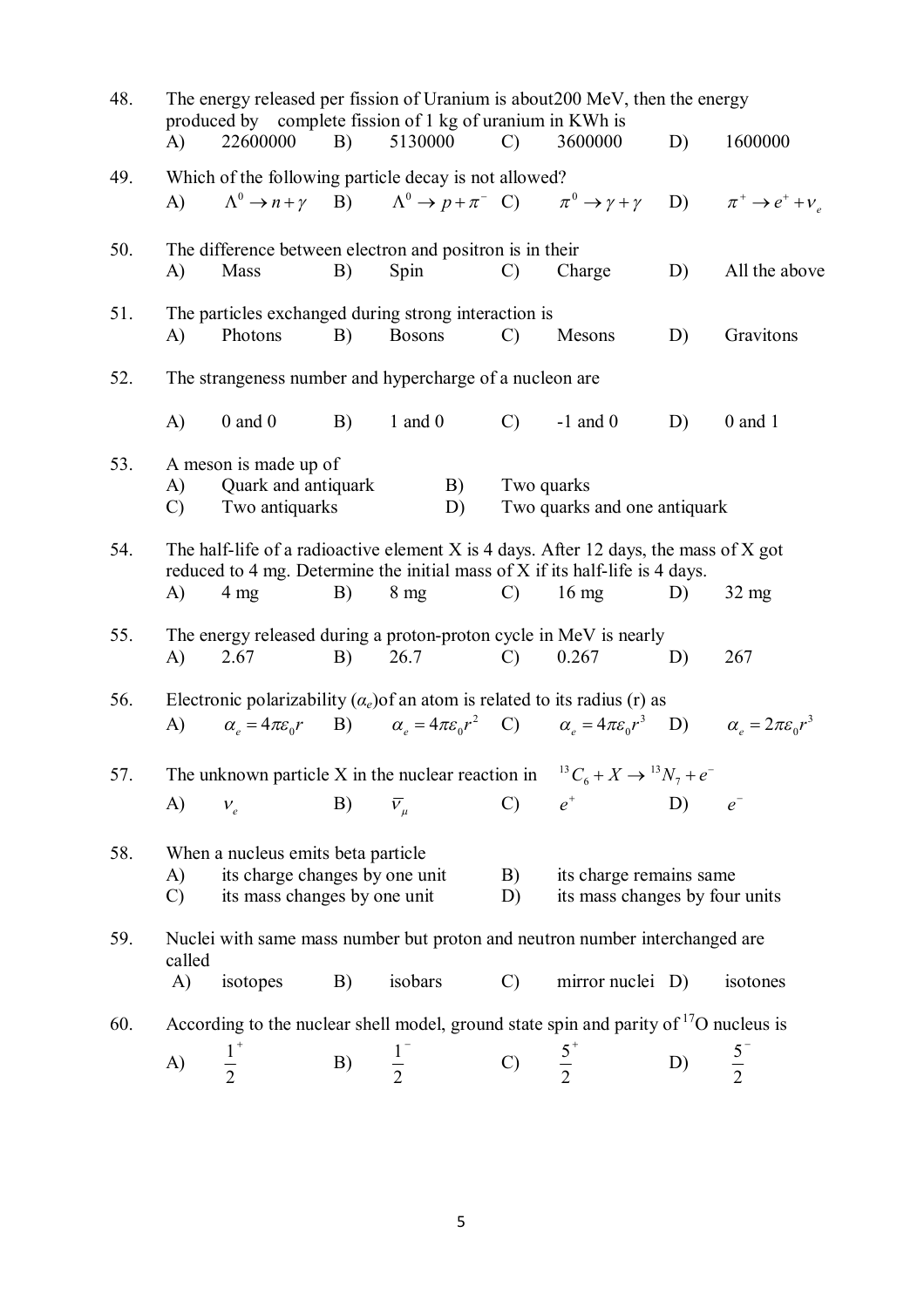| 48. |                                                                                                                                                                          | produced by complete fission of 1 kg of uranium in KWh is |            |                                                                                        |                 | The energy released per fission of Uranium is about 200 MeV, then the energy                                                                                         |    |                                   |  |  |
|-----|--------------------------------------------------------------------------------------------------------------------------------------------------------------------------|-----------------------------------------------------------|------------|----------------------------------------------------------------------------------------|-----------------|----------------------------------------------------------------------------------------------------------------------------------------------------------------------|----|-----------------------------------|--|--|
|     | A)                                                                                                                                                                       | 22600000                                                  | <b>B</b> ) | 5130000                                                                                | $\mathcal{C}$   | 3600000                                                                                                                                                              | D) | 1600000                           |  |  |
| 49. |                                                                                                                                                                          | Which of the following particle decay is not allowed?     |            |                                                                                        |                 |                                                                                                                                                                      |    |                                   |  |  |
|     | $\mathbf{A}$                                                                                                                                                             |                                                           |            | $\Lambda^0 \to n + \gamma$ B) $\Lambda^0 \to p + \pi^-$ C) $\pi^0 \to \gamma + \gamma$ |                 |                                                                                                                                                                      |    | D) $\pi^+ \rightarrow e^+ + v_a$  |  |  |
| 50. |                                                                                                                                                                          | The difference between electron and positron is in their  |            |                                                                                        |                 |                                                                                                                                                                      |    |                                   |  |  |
|     | A)                                                                                                                                                                       | Mass                                                      | B)         | Spin                                                                                   | $\mathcal{C}$   | Charge                                                                                                                                                               | D) | All the above                     |  |  |
| 51. |                                                                                                                                                                          | The particles exchanged during strong interaction is      |            |                                                                                        |                 |                                                                                                                                                                      |    |                                   |  |  |
|     | A)                                                                                                                                                                       | Photons                                                   | B)         | <b>Bosons</b>                                                                          | $\mathcal{C}$   | Mesons                                                                                                                                                               | D) | Gravitons                         |  |  |
| 52. |                                                                                                                                                                          | The strangeness number and hypercharge of a nucleon are   |            |                                                                                        |                 |                                                                                                                                                                      |    |                                   |  |  |
|     | A)                                                                                                                                                                       | $0$ and $0$                                               | <b>B</b> ) | $1$ and $0$                                                                            | $\mathcal{C}$ ) | $-1$ and 0                                                                                                                                                           | D) | $0$ and $1$                       |  |  |
| 53. |                                                                                                                                                                          | A meson is made up of                                     |            |                                                                                        |                 |                                                                                                                                                                      |    |                                   |  |  |
|     | A)                                                                                                                                                                       | Quark and antiquark                                       |            | B)                                                                                     | Two quarks      |                                                                                                                                                                      |    |                                   |  |  |
|     | Two quarks and one antiquark<br>Two antiquarks<br>D)<br>$\mathcal{C}$                                                                                                    |                                                           |            |                                                                                        |                 |                                                                                                                                                                      |    |                                   |  |  |
| 54. | The half-life of a radioactive element $X$ is 4 days. After 12 days, the mass of $X$ got<br>reduced to 4 mg. Determine the initial mass of X if its half-life is 4 days. |                                                           |            |                                                                                        |                 |                                                                                                                                                                      |    |                                   |  |  |
|     | A)                                                                                                                                                                       | $4 \text{ mg}$                                            | B)         | $8 \text{ mg}$                                                                         | $\mathcal{C}$   | $16 \text{ mg}$                                                                                                                                                      | D) | $32 \text{ mg}$                   |  |  |
|     |                                                                                                                                                                          |                                                           |            |                                                                                        |                 |                                                                                                                                                                      |    |                                   |  |  |
| 55. | A)                                                                                                                                                                       | 2.67                                                      | B)         | 26.7                                                                                   | $\mathcal{C}$ ) | The energy released during a proton-proton cycle in MeV is nearly<br>0.267                                                                                           | D) | 267                               |  |  |
|     |                                                                                                                                                                          |                                                           |            |                                                                                        |                 |                                                                                                                                                                      |    |                                   |  |  |
| 56. |                                                                                                                                                                          |                                                           |            |                                                                                        |                 | Electronic polarizability $(\alpha_e)$ of an atom is related to its radius (r) as                                                                                    |    |                                   |  |  |
|     | (A)                                                                                                                                                                      |                                                           |            |                                                                                        |                 | $\alpha_{e} = 4\pi\varepsilon_{0}r$ B) $\alpha_{e} = 4\pi\varepsilon_{0}r^{2}$ C) $\alpha_{e} = 4\pi\varepsilon_{0}r^{3}$ D) $\alpha_{e} = 2\pi\varepsilon_{0}r^{3}$ |    |                                   |  |  |
| 57. |                                                                                                                                                                          |                                                           |            |                                                                                        |                 | The unknown particle X in the nuclear reaction in ${}^{13}C_6 + X \rightarrow {}^{13}N_7 + e^-$                                                                      |    |                                   |  |  |
|     | $\mathbf{A}$                                                                                                                                                             | $V_e$                                                     | B)         | $\bar{v}_\mu$                                                                          | $\mathcal{C}$   | $e^+$                                                                                                                                                                | D) | $\ensuremath{e}^{\ensuremath{-}}$ |  |  |
| 58. |                                                                                                                                                                          | When a nucleus emits beta particle                        |            |                                                                                        |                 |                                                                                                                                                                      |    |                                   |  |  |
|     | A)                                                                                                                                                                       | its charge changes by one unit                            |            |                                                                                        | B)              | its charge remains same                                                                                                                                              |    |                                   |  |  |
|     | its mass changes by one unit<br>$\mathcal{C}$<br>its mass changes by four units<br>D)                                                                                    |                                                           |            |                                                                                        |                 |                                                                                                                                                                      |    |                                   |  |  |
| 59. |                                                                                                                                                                          |                                                           |            |                                                                                        |                 | Nuclei with same mass number but proton and neutron number interchanged are                                                                                          |    |                                   |  |  |
|     | called<br>A)                                                                                                                                                             | isotopes                                                  | B)         | isobars                                                                                | $\mathcal{C}$   | mirror nuclei D)                                                                                                                                                     |    | isotones                          |  |  |
|     |                                                                                                                                                                          |                                                           |            |                                                                                        |                 |                                                                                                                                                                      |    |                                   |  |  |
| 60. |                                                                                                                                                                          |                                                           |            |                                                                                        |                 | According to the nuclear shell model, ground state spin and parity of $17$ O nucleus is                                                                              |    |                                   |  |  |
|     | A)                                                                                                                                                                       | $\frac{1}{2}^{+}$                                         | B)         | $\frac{1}{2}$                                                                          | $\mathcal{C}$   | $\frac{5}{2}^{+}$                                                                                                                                                    | D) | $\frac{5}{2}$                     |  |  |
|     |                                                                                                                                                                          |                                                           |            |                                                                                        |                 |                                                                                                                                                                      |    |                                   |  |  |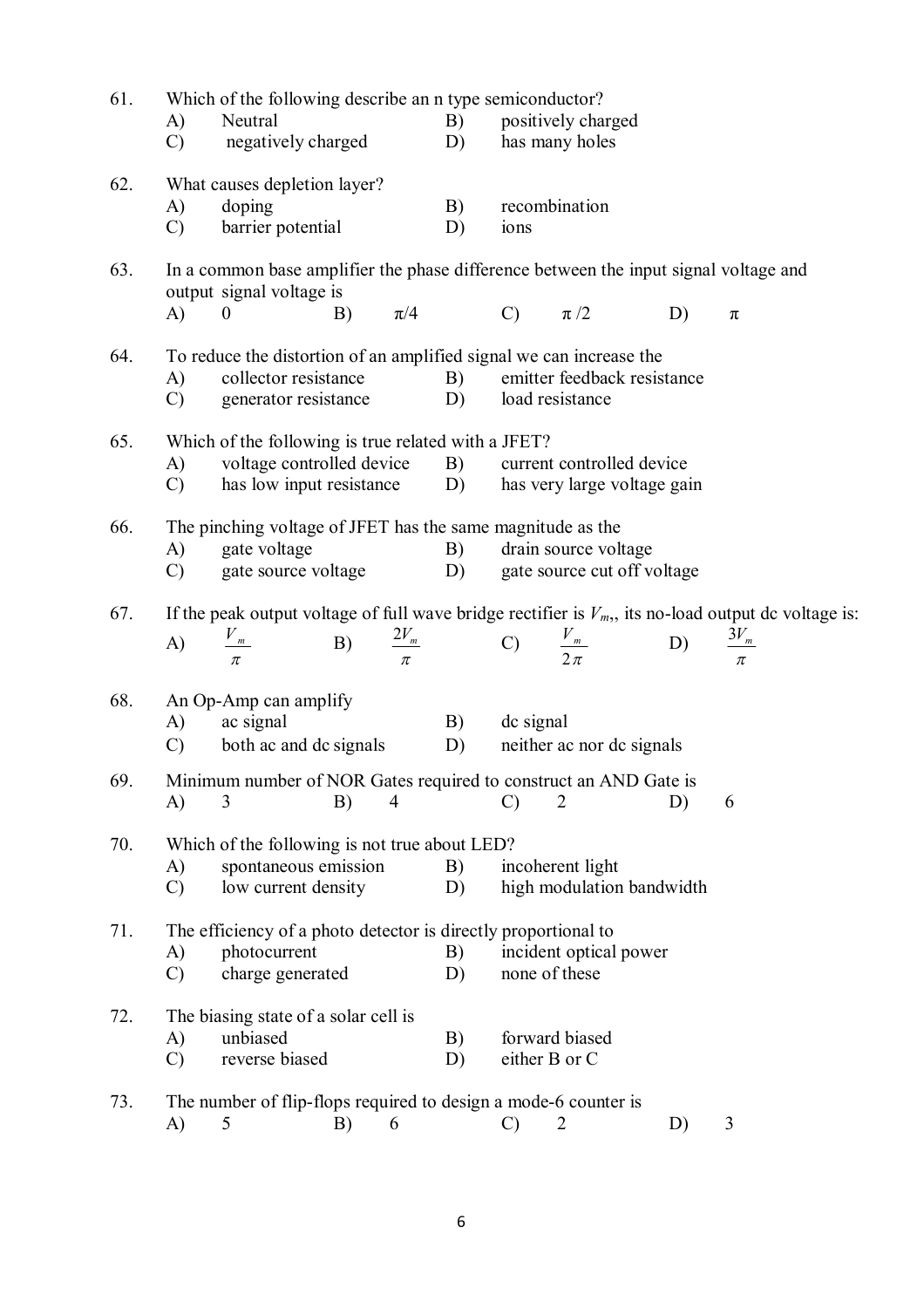| 61. | Which of the following describe an n type semiconductor?                                                                   |                                                                 |    |                |                  |                    |                                             |    |                    |  |  |
|-----|----------------------------------------------------------------------------------------------------------------------------|-----------------------------------------------------------------|----|----------------|------------------|--------------------|---------------------------------------------|----|--------------------|--|--|
|     | A)                                                                                                                         | Neutral                                                         |    |                | B)               | positively charged |                                             |    |                    |  |  |
|     | $\mathcal{C}$                                                                                                              | negatively charged                                              |    |                | D)               |                    | has many holes                              |    |                    |  |  |
| 62. |                                                                                                                            | What causes depletion layer?                                    |    |                |                  |                    |                                             |    |                    |  |  |
|     | A)<br>doping                                                                                                               |                                                                 |    |                | B)               |                    | recombination                               |    |                    |  |  |
|     | $\mathcal{C}$                                                                                                              | barrier potential                                               |    |                | D)               | ions               |                                             |    |                    |  |  |
| 63. | In a common base amplifier the phase difference between the input signal voltage and<br>output signal voltage is           |                                                                 |    |                |                  |                    |                                             |    |                    |  |  |
|     | A)                                                                                                                         | $\overline{0}$                                                  |    | B) $\pi/4$     |                  | C) $\pi/2$         |                                             | D) | $\pi$              |  |  |
| 64. |                                                                                                                            |                                                                 |    |                |                  |                    |                                             |    |                    |  |  |
|     | To reduce the distortion of an amplified signal we can increase the<br>collector resistance<br>emitter feedback resistance |                                                                 |    |                |                  |                    |                                             |    |                    |  |  |
|     | A)<br>$\mathcal{C}$                                                                                                        | generator resistance                                            |    |                | <b>B</b> )<br>D) |                    | load resistance                             |    |                    |  |  |
|     |                                                                                                                            |                                                                 |    |                |                  |                    |                                             |    |                    |  |  |
| 65. | Which of the following is true related with a JFET?                                                                        |                                                                 |    |                |                  |                    |                                             |    |                    |  |  |
|     | A)                                                                                                                         | voltage controlled device                                       |    |                | B)               |                    | current controlled device                   |    |                    |  |  |
|     | $\mathcal{C}$                                                                                                              | has low input resistance D)                                     |    |                |                  |                    | has very large voltage gain                 |    |                    |  |  |
| 66. | The pinching voltage of JFET has the same magnitude as the                                                                 |                                                                 |    |                |                  |                    |                                             |    |                    |  |  |
|     | A)                                                                                                                         | gate voltage                                                    |    |                | B)               |                    | drain source voltage                        |    |                    |  |  |
|     | $\mathcal{C}$ )                                                                                                            | gate source voltage                                             |    |                | D)               |                    | gate source cut off voltage                 |    |                    |  |  |
| 67. | If the peak output voltage of full wave bridge rectifier is $V_m$ , its no-load output dc voltage is:                      |                                                                 |    |                |                  |                    |                                             |    |                    |  |  |
|     | A)                                                                                                                         | $\frac{V_m}{\pi}$                                               |    |                |                  |                    | B) $\frac{2V_m}{\pi}$ C) $\frac{V_m}{2\pi}$ | D) | $\frac{3V_m}{\pi}$ |  |  |
|     |                                                                                                                            |                                                                 |    |                |                  |                    |                                             |    |                    |  |  |
| 68. |                                                                                                                            | An Op-Amp can amplify                                           |    |                |                  |                    |                                             |    |                    |  |  |
|     | A)                                                                                                                         | ac signal                                                       |    |                | B)               | dc signal          |                                             |    |                    |  |  |
|     | $\mathcal{C}$ )                                                                                                            | both ac and dc signals                                          |    |                | D)               |                    | neither ac nor dc signals                   |    |                    |  |  |
| 69. | Minimum number of NOR Gates required to construct an AND Gate is                                                           |                                                                 |    |                |                  |                    |                                             |    |                    |  |  |
|     | A)                                                                                                                         | 3                                                               | B) | $\overline{4}$ |                  | $\mathcal{C}$      | $\overline{2}$                              | D) | 6                  |  |  |
| 70. |                                                                                                                            | Which of the following is not true about LED?                   |    |                |                  |                    |                                             |    |                    |  |  |
|     | A)                                                                                                                         | spontaneous emission                                            |    |                | B)               |                    | incoherent light                            |    |                    |  |  |
|     | $\mathcal{C}$                                                                                                              | low current density                                             |    |                | D)               |                    | high modulation bandwidth                   |    |                    |  |  |
|     |                                                                                                                            |                                                                 |    |                |                  |                    |                                             |    |                    |  |  |
| 71. |                                                                                                                            | The efficiency of a photo detector is directly proportional to  |    |                |                  |                    |                                             |    |                    |  |  |
|     | A)                                                                                                                         | photocurrent                                                    |    |                | B)               |                    | incident optical power                      |    |                    |  |  |
|     | $\mathcal{C}$                                                                                                              | charge generated                                                |    |                | D)               |                    | none of these                               |    |                    |  |  |
| 72. |                                                                                                                            | The biasing state of a solar cell is                            |    |                |                  |                    |                                             |    |                    |  |  |
|     | A)                                                                                                                         | unbiased                                                        |    |                | B)               | forward biased     |                                             |    |                    |  |  |
|     | $\mathcal{C}$                                                                                                              | reverse biased                                                  |    |                | D)               |                    | either B or C                               |    |                    |  |  |
| 73. |                                                                                                                            | The number of flip-flops required to design a mode-6 counter is |    |                |                  |                    |                                             |    |                    |  |  |
|     | A)                                                                                                                         | 5                                                               | B) | 6              |                  | $\mathcal{C}$      | 2                                           | D) | 3                  |  |  |
|     |                                                                                                                            |                                                                 |    |                |                  |                    |                                             |    |                    |  |  |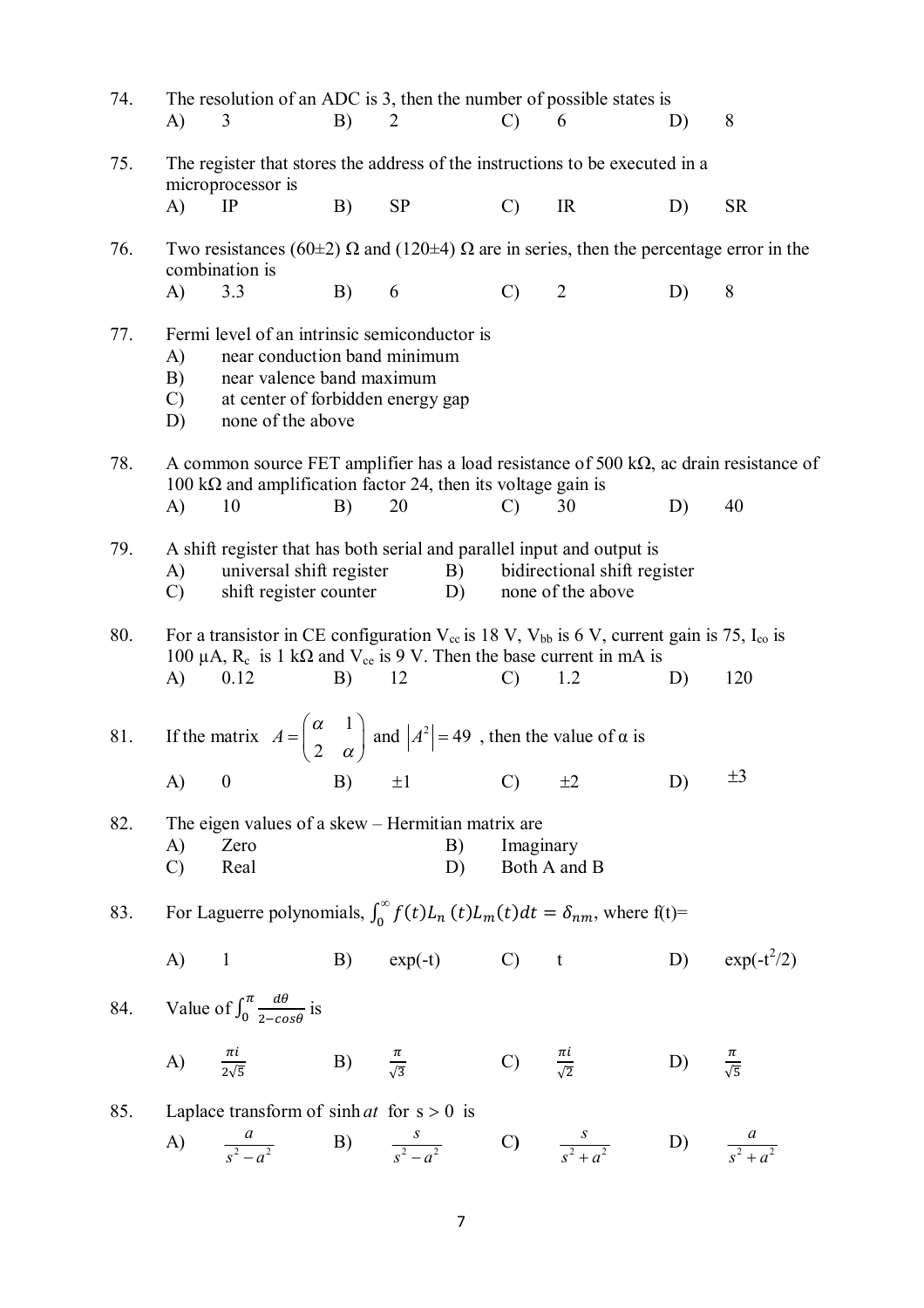| 74. | A)                                                                                                | The resolution of an ADC is 3, then the number of possible states is<br>3                                                                                                                                                 | B) | 2                 | $\mathcal{C}$               | 6                                                 | D)                        | 8                        |  |  |
|-----|---------------------------------------------------------------------------------------------------|---------------------------------------------------------------------------------------------------------------------------------------------------------------------------------------------------------------------------|----|-------------------|-----------------------------|---------------------------------------------------|---------------------------|--------------------------|--|--|
| 75. | The register that stores the address of the instructions to be executed in a<br>microprocessor is |                                                                                                                                                                                                                           |    |                   |                             |                                                   |                           |                          |  |  |
|     | A)                                                                                                | IP                                                                                                                                                                                                                        | B) | <b>SP</b>         | $\mathcal{C}$               | IR                                                | D)                        | <b>SR</b>                |  |  |
| 76. |                                                                                                   | Two resistances (60 $\pm$ 2) $\Omega$ and (120 $\pm$ 4) $\Omega$ are in series, then the percentage error in the<br>combination is                                                                                        |    |                   |                             |                                                   |                           |                          |  |  |
|     | A)                                                                                                | 3.3                                                                                                                                                                                                                       | B) | 6                 | $\mathcal{C}$               | $\overline{2}$                                    | D)                        | 8                        |  |  |
| 77. | A)<br>B)<br>$\mathcal{C}$<br>D)                                                                   | Fermi level of an intrinsic semiconductor is<br>near conduction band minimum<br>near valence band maximum<br>at center of forbidden energy gap<br>none of the above                                                       |    |                   |                             |                                                   |                           |                          |  |  |
| 78. |                                                                                                   | A common source FET amplifier has a load resistance of 500 k $\Omega$ , ac drain resistance of<br>100 k $\Omega$ and amplification factor 24, then its voltage gain is                                                    |    |                   |                             |                                                   |                           |                          |  |  |
|     | A)                                                                                                | 10                                                                                                                                                                                                                        | B) | 20                | $\mathcal{C}$               | 30                                                | D)                        | 40                       |  |  |
| 79. | A)<br>$\mathcal{C}$                                                                               | A shift register that has both serial and parallel input and output is<br>universal shift register<br>shift register counter                                                                                              |    | B)<br>D)          |                             | bidirectional shift register<br>none of the above |                           |                          |  |  |
| 80. | A)                                                                                                | For a transistor in CE configuration $V_{cc}$ is 18 V, $V_{bb}$ is 6 V, current gain is 75, $I_{co}$ is<br>100 $\mu$ A, R <sub>c</sub> is 1 k $\Omega$ and V <sub>ce</sub> is 9 V. Then the base current in mA is<br>0.12 | B) | 12                | $\mathcal{C}$               | 1.2                                               | D)                        | 120                      |  |  |
| 81. |                                                                                                   | If the matrix $A = \begin{pmatrix} \alpha & 1 \\ 2 & \alpha \end{pmatrix}$ and $ A^2  = 49$ , then the value of $\alpha$ is                                                                                               |    |                   |                             |                                                   |                           |                          |  |  |
|     |                                                                                                   | A) 0 B) $\pm 1$ C) $\pm 2$                                                                                                                                                                                                |    |                   |                             |                                                   | D)                        |                          |  |  |
| 82. | The eigen values of a skew - Hermitian matrix are                                                 |                                                                                                                                                                                                                           |    |                   |                             |                                                   |                           |                          |  |  |
|     | A)<br>$\mathcal{C}$                                                                               | Zero<br>Real                                                                                                                                                                                                              |    | B)<br>D)          | Imaginary                   | Both A and B                                      |                           |                          |  |  |
| 83. |                                                                                                   | For Laguerre polynomials, $\int_0^\infty f(t)L_n(t)L_m(t)dt = \delta_{nm}$ , where f(t)=                                                                                                                                  |    |                   |                             |                                                   |                           |                          |  |  |
|     | $A)$ 1                                                                                            |                                                                                                                                                                                                                           |    | B) $exp(-t)$ C) t |                             |                                                   |                           | D) $\exp(-t^2/2)$        |  |  |
|     |                                                                                                   | 84. Value of $\int_0^{\pi} \frac{d\theta}{2-\cos\theta}$ is                                                                                                                                                               |    |                   |                             |                                                   |                           |                          |  |  |
|     |                                                                                                   | A) $\frac{\pi i}{2\sqrt{5}}$ B) $\frac{\pi}{\sqrt{3}}$                                                                                                                                                                    |    |                   | C) $\frac{\pi i}{\sqrt{2}}$ |                                                   | D) $\frac{\pi}{\sqrt{5}}$ |                          |  |  |
| 85. |                                                                                                   | Laplace transform of $sinh at$ for $s > 0$ is                                                                                                                                                                             |    |                   |                             |                                                   |                           |                          |  |  |
|     |                                                                                                   | A) $\frac{a}{s^2 - a^2}$ B) $\frac{s}{s^2 - a^2}$ C) $\frac{s}{s^2 + a^2}$                                                                                                                                                |    |                   |                             |                                                   |                           | D) $\frac{a}{s^2 + a^2}$ |  |  |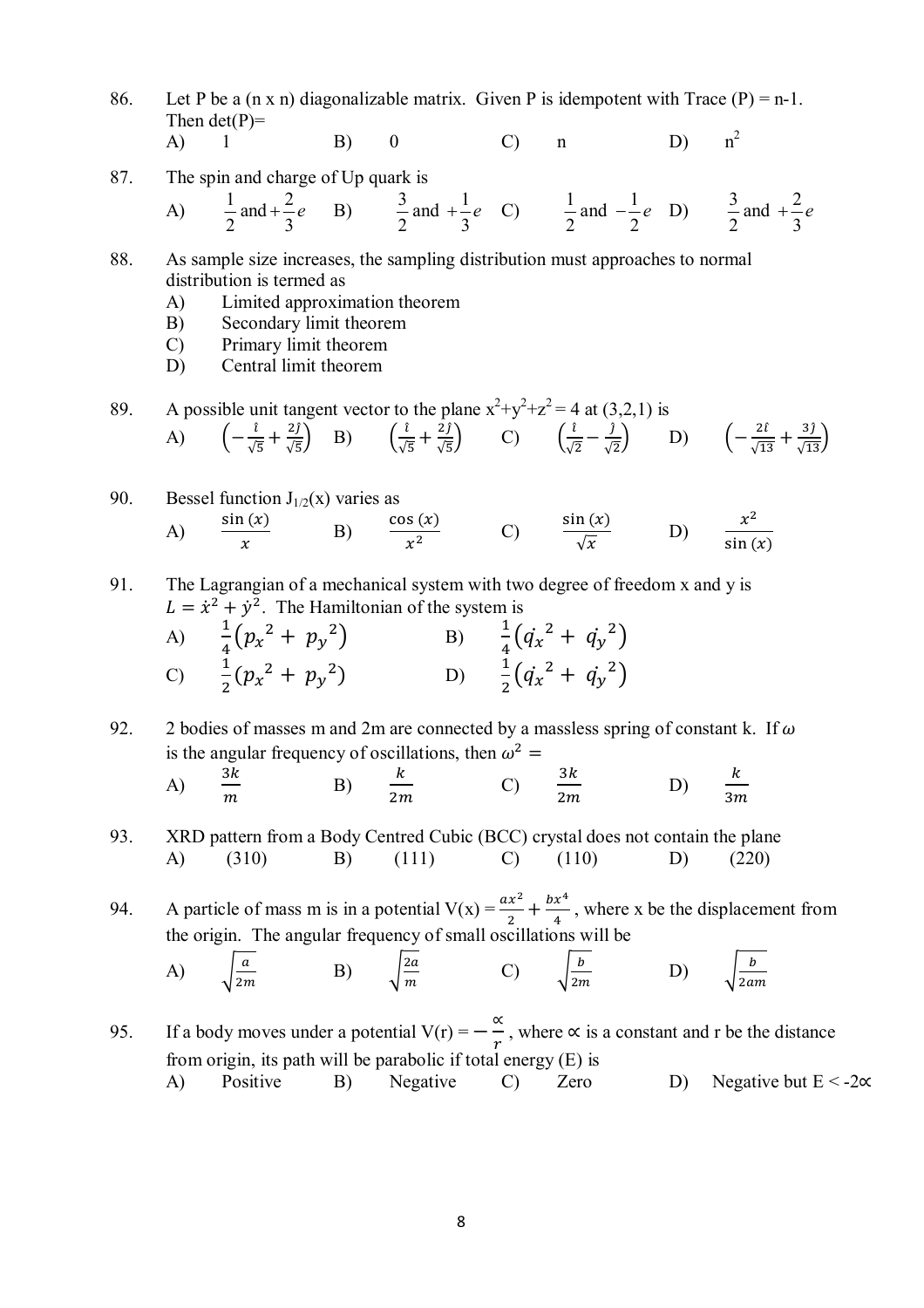- 86. Let P be a  $(n \times n)$  diagonalizable matrix. Given P is idempotent with Trace  $(P) = n-1$ . Then  $det(P)$ =
	- A) 1 B) 0 C) n D) n  $n^2$
- 87. The spin and charge of Up quark is

A) 
$$
\frac{1}{2}
$$
 and  $+\frac{2}{3}e$  B)  $\frac{3}{2}$  and  $+\frac{1}{3}e$  C)  $\frac{1}{2}$  and  $-\frac{1}{2}e$  D)  $\frac{3}{2}$  and  $+\frac{2}{3}e$ 

- 88. As sample size increases, the sampling distribution must approaches to normal distribution is termed as
	- A) Limited approximation theorem
	- B) Secondary limit theorem
	- C) Primary limit theorem
	- D) Central limit theorem

89. A possible unit tangent vector to the plane  $x^2+y^2+z^2 = 4$  at (3,2,1) is

A) 
$$
\left(-\frac{\hat{i}}{\sqrt{5}} + \frac{2\hat{j}}{\sqrt{5}}\right)
$$
 B)  $\left(\frac{\hat{i}}{\sqrt{5}} + \frac{2\hat{j}}{\sqrt{5}}\right)$  C)  $\left(\frac{\hat{i}}{\sqrt{2}} - \frac{\hat{j}}{\sqrt{2}}\right)$  D)  $\left(-\frac{2\hat{i}}{\sqrt{13}} + \frac{3\hat{j}}{\sqrt{13}}\right)$ 

90. Bessel function 
$$
J_{1/2}(x)
$$
 varies as  
\n(A)  $\frac{\sin (x)}{x}$  \n(B)  $\frac{\cos (x)}{x^2}$  \n(C)  $\frac{\sin (x)}{\sqrt{x}}$  \n(D)  $\frac{x^2}{\sin (x)}$ 

91. The Lagrangian of a mechanical system with two degree of freedom x and y is  $L = \dot{x}^2 + \dot{y}^2$ . The Hamiltonian of the system is

A) 
$$
\frac{1}{4}(p_x^2 + p_y^2)
$$
  
\nB)  $\frac{1}{4}(q_x^2 + q_y^2)$   
\nC)  $\frac{1}{2}(p_x^2 + p_y^2)$   
\nD)  $\frac{1}{2}(q_x^2 + q_y^2)$ 

92. 2 bodies of masses m and 2m are connected by a massless spring of constant k. If  $\omega$ is the angular frequency of oscillations, then  $\omega^2$  =

A) 
$$
\frac{3k}{m}
$$
 \t\t B)  $\frac{k}{2m}$  \t\t C)  $\frac{3k}{2m}$  \t\t D)  $\frac{k}{3m}$ 

93. XRD pattern from a Body Centred Cubic (BCC) crystal does not contain the plane A) (310) B) (111) C) (110) D) (220)

94. A particle of mass m is in a potential  $V(x) = \frac{ax^2}{2}$  $\frac{x^2}{2} + \frac{bx^4}{4}$  $\frac{x}{4}$ , where x be the displacement from the origin. The angular frequency of small oscillations will be

A) 
$$
\sqrt{\frac{a}{2m}}
$$
 \tB)  $\sqrt{\frac{2a}{m}}$  \tC)  $\sqrt{\frac{b}{2m}}$  \tD)  $\sqrt{\frac{b}{2am}}$ 

95. If a body moves under a potential V(r) =  $-\frac{\alpha}{r}$  $\frac{1}{r}$ , where  $\propto$  is a constant and r be the distance from origin, its path will be parabolic if total energy  $(E)$  is A) Positive B) Negative C) Zero D) Negative but  $E < -2\alpha$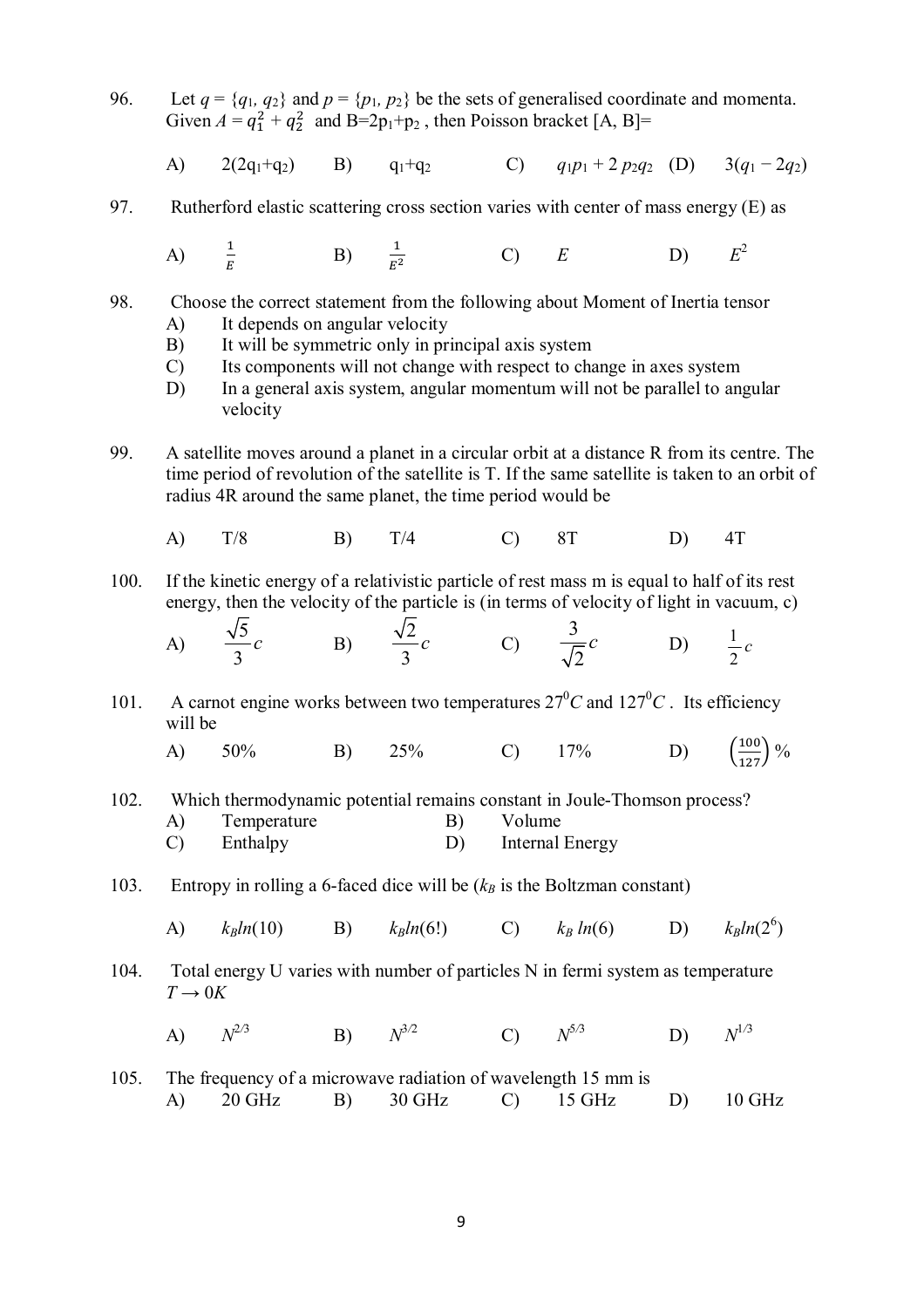96. Let  $q = \{q_1, q_2\}$  and  $p = \{p_1, p_2\}$  be the sets of generalised coordinate and momenta. Given  $A = q_1^2 + q_2^2$  and  $B = 2p_1 + p_2$ , then Poisson bracket [A, B]=

A) 
$$
2(2q_1+q_2)
$$
 B)  $q_1+q_2$  C)  $q_1p_1+2p_2q_2$  (D)  $3(q_1-2q_2)$ 

97. Rutherford elastic scattering cross section varies with center of mass energy (E) as

A) 
$$
\frac{1}{E}
$$
 \t\t B)  $\frac{1}{E^2}$  \t\t C)  $E$  \t\t D)  $E^2$ 

- 98. Choose the correct statement from the following about Moment of Inertia tensor A) It depends on angular velocity
	- B) It will be symmetric only in principal axis system
	- C) Its components will not change with respect to change in axes system
	- D) In a general axis system, angular momentum will not be parallel to angular velocity
- 99. A satellite moves around a planet in a circular orbit at a distance R from its centre. The time period of revolution of the satellite is T. If the same satellite is taken to an orbit of radius 4R around the same planet, the time period would be
	- A) T/8 B) T/4 C) 8T D) 4T
- 100. If the kinetic energy of a relativistic particle of rest mass m is equal to half of its rest energy, then the velocity of the particle is (in terms of velocity of light in vacuum, c)

A) 
$$
\frac{\sqrt{5}}{3}c
$$
 B)  $\frac{\sqrt{2}}{3}c$  C)  $\frac{3}{\sqrt{2}}c$  D)  $\frac{1}{2}c$ 

- 101. A carnot engine works between two temperatures  $27^{\circ}C$  and  $127^{\circ}C$ . Its efficiency will be
	- A) 50% B) 25% C) 17% D) (  $\frac{100}{127}$  %
- 102. Which thermodynamic potential remains constant in Joule-Thomson process?
	- A) Temperature B) Volume C) Enthalpy D) Internal Energy
- 103. Entropy in rolling a 6-faced dice will be  $(k_B)$  is the Boltzman constant)
	- A) *kBln*(10) B) *kBln*(6!) C) *k<sup>B</sup> ln*(6) D) *kBln*(2<sup>6</sup>  $k_R ln(2^6)$
- 104. Total energy U varies with number of particles N in fermi system as temperature  $T \rightarrow 0K$ 
	- A)  $N^{2/3}$ **B**)  $N^{3/2}$  $(N^{5/3})$ <sup>5</sup>*/*<sup>3</sup> D) *N*  $N^{1/3}$
- 105. The frequency of a microwave radiation of wavelength 15 mm is A) 20 GHz B) 30 GHz C) 15 GHz D) 10 GHz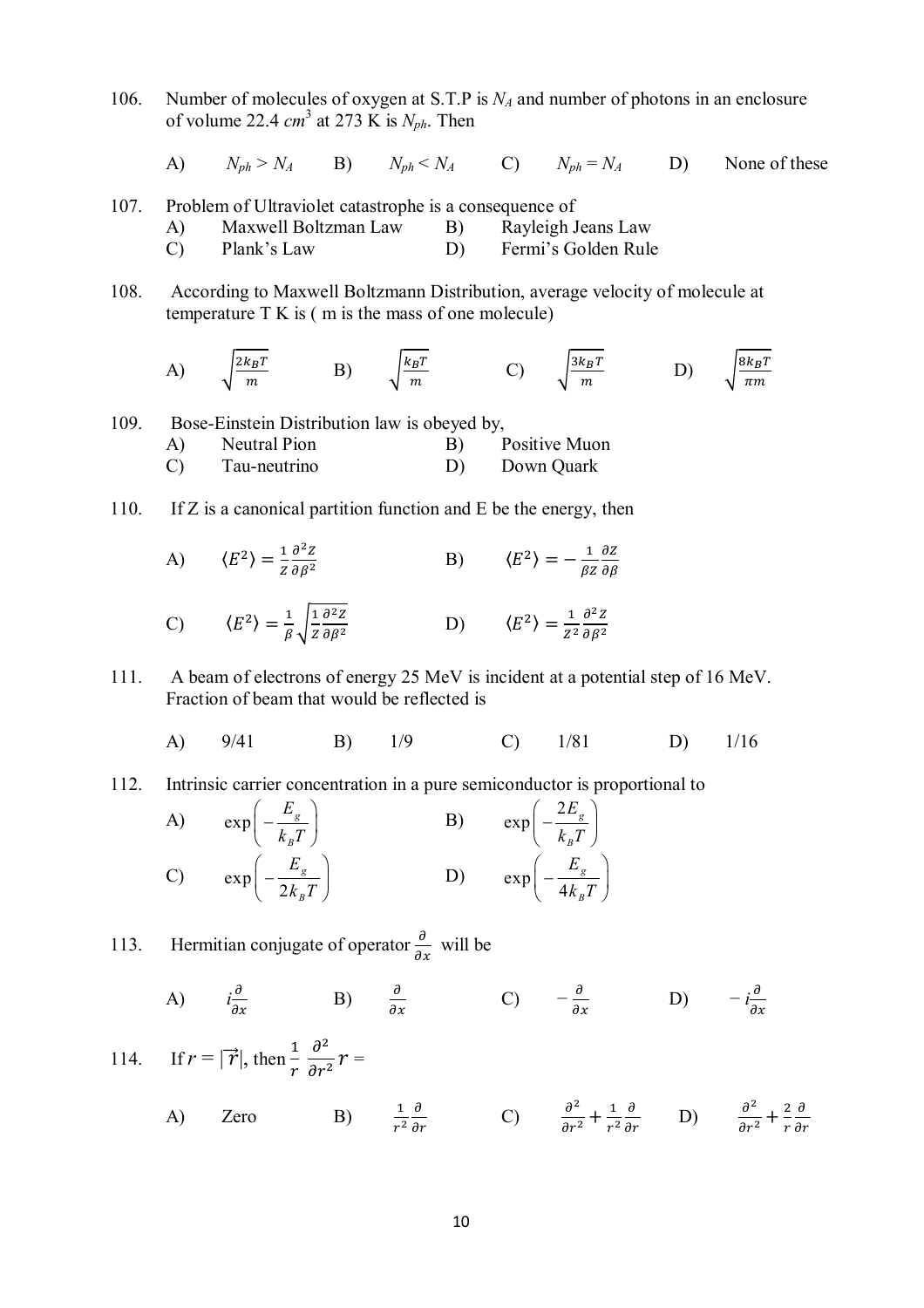106. Number of molecules of oxygen at S.T.P is *N<sup>A</sup>* and number of photons in an enclosure of volume 22.4 *cm* 3 at 273 K is *Nph*. Then

A)  $N_{ph} > N_A$  B)  $N_{ph} < N_A$  C)  $N_{ph} = N_A$  D) None of these

- 107. Problem of Ultraviolet catastrophe is a consequence of
	- A) Maxwell Boltzman Law B) Rayleigh Jeans Law C) Plank's Law D) Fermi's Golden Rule
- 108. According to Maxwell Boltzmann Distribution, average velocity of molecule at temperature  $T K$  is  $(m \text{ is the mass of one molecule})$

A) 
$$
\sqrt{\frac{2k_BT}{m}}
$$
 B)  $\sqrt{\frac{k_BT}{m}}$  C)  $\sqrt{\frac{3k_BT}{m}}$  D)  $\sqrt{\frac{8k_BT}{\pi m}}$ 

109. Bose-Einstein Distribution law is obeyed by,

- A) Neutral Pion B) Positive Muon C) Tau-neutrino D) Down Quark
- 110. If Z is a canonical partition function and E be the energy, then

A) 
$$
\langle E^2 \rangle = \frac{1}{z} \frac{\partial^2 z}{\partial \beta^2}
$$
 \t\t B)  $\langle E^2 \rangle = -\frac{1}{\beta z} \frac{\partial z}{\partial \beta}$ 

$$
\text{C)} \qquad \langle E^2 \rangle = \frac{1}{\beta} \sqrt{\frac{1}{z} \frac{\partial^2 z}{\partial \beta^2}} \qquad \qquad \text{D)} \qquad \langle E^2 \rangle = \frac{1}{z^2} \frac{\partial^2 z}{\partial \beta^2}
$$

111. A beam of electrons of energy 25 MeV is incident at a potential step of 16 MeV. Fraction of beam that would be reflected is

A) 9/41 B) 1/9 C) 1/81 D) 1/16

112. Intrinsic carrier concentration in a pure semiconductor is proportional to

A) 
$$
\exp\left(-\frac{E_g}{k_B T}\right)
$$
 B)  $\exp\left(-\frac{2E_g}{k_B T}\right)$   
\nC)  $\exp\left(-\frac{E_g}{2k_B T}\right)$  D)  $\exp\left(-\frac{E_g}{4k_B T}\right)$ 

113. Hermitian conjugate of operator  $\frac{\partial}{\partial x}$  will be

A) 
$$
i\frac{\partial}{\partial x}
$$
 \t\t B)  $\frac{\partial}{\partial x}$  \t\t C)  $-\frac{\partial}{\partial x}$  \t\t D)  $-i\frac{\partial}{\partial x}$ 

114. If 
$$
r = |\vec{r}|
$$
, then  $\frac{1}{r} \frac{\partial^2}{\partial r^2} r =$   
\nA) Zero   
\nB)  $\frac{1}{r^2} \frac{\partial}{\partial r}$    
\nC)  $\frac{\partial^2}{\partial r^2} + \frac{1}{r^2} \frac{\partial}{\partial r}$    
\nD)  $\frac{\partial^2}{\partial r^2} + \frac{2}{r} \frac{\partial}{\partial r}$